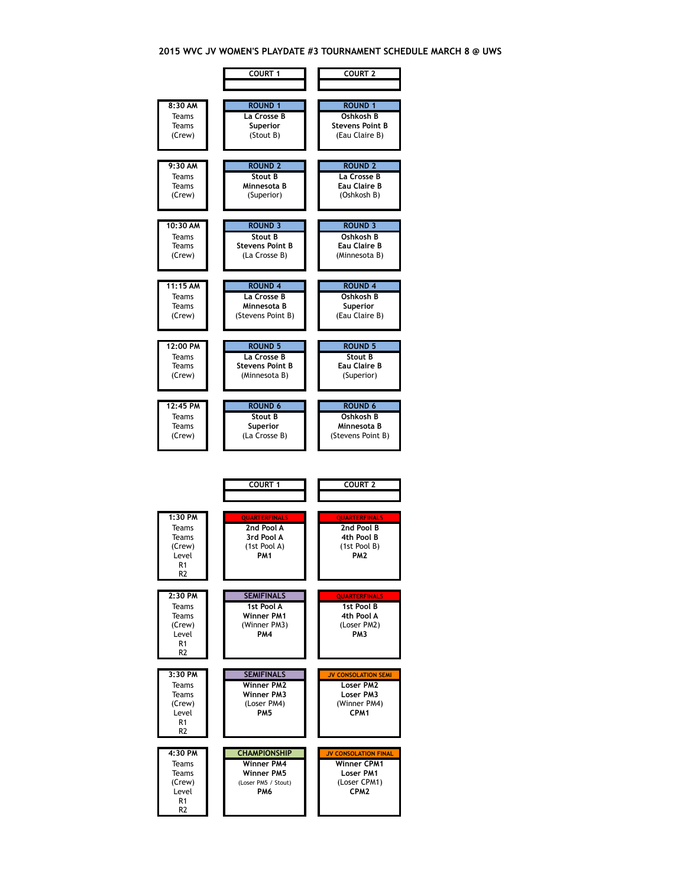